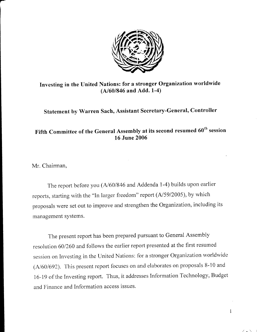

Investing in the United Nations: for a stronger Organization worldwide  $(A/60/846$  and Add. 1-4)

Statement by Warren Sach, Assistant Secretary-General, Controller

# Fifth Committee of the General Assembly at its second resumed 60<sup>th</sup> session 16 June 2006

Mr. Chairman,

t-

The report before you (A/60/846 and Addenda 1-4) builds upon earlier reports, starting with the "In larger freedom" report (A/59/2005), by which proposals were set out to improve and strengthen the Organization, including its management systems.

The present report has been prepared pursuant to General Assembly resolution 60/260 and follows the earlier report presented at the first resumed session on Investing in the United Nations: for a stronger Organization worldwide ( $A/60/692$ ). This present report focuses on and elaborates on proposals 8-10 and 16-19 of the Investing report. Thus, it addresses Information Technology, Budget and Finance and Information access issues.

 $\mathbf{1}$ 

 $\angle$ .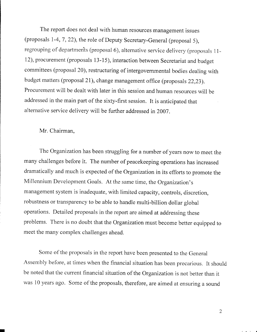The report does not deal with human resources management issues (proposals 1-4, 7,22), the role of Deputy secretary-General (proposal 5), regrouping of departments (proposal 6), alternative service delivery (proposals 11-12), procurement (proposals 13-15), interaction between Secretariat and budget committees (proposal 20), restructuring of intergovernmental bodies dealing with budget matters (proposal 21), change management office (proposals 22,23). Procurement will be dealt with later in this session and human resources will be addressed in the main part of the sixty-first session. It is anticipated that alternative service delivery will be further addressed in2007.

#### Mr. Chairman,

I

The Organization has been struggling for a number of years now to meet the many challenges before it. The number of peacekeeping operations has increased drarnatically and much is expected of the Organization in its efforts to promote the Millennium Developrnent Goals. At the same time, the Organization's management system is inadequate, with limited capacity, controls, discretion, robustness or transparency to be able to handle multi-billion dollar global operations. Detailed proposals in the report are aimed at addressing these problems. There is no doubt that the Organization must become better equipped to meet the many complex challenges ahead.

Some of the proposals in the report have been presented to the General Assembly before, at times when the financial situation has been precarious. It should be noted that the current financial situation of the Organization is not better than it was 10 years ago. Some of the proposals, therefore, are aimed at ensuring a sound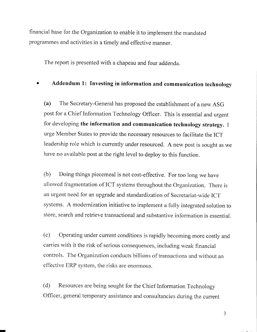financial base for the Organization to enable it to implement the mandated programmes and activities in a timely and effective manner.

The report is presented with a chapeau and four addenda.

## Addendum 1: Investing in information and communication technology

(a) The Secretary-General has proposed the establishment of a new ASG post for a Chief Information Technology Officer. This is essential and urgent for developing the information and communication technology strategy. I urge Member States to provide the necessary resources to facilitate the ICT leadership role which is currently under resourced. A new post is sought as we have no available post at the right level to deploy to this function.

(b) Doing things piecemeal is not cost-effective. For too long we have allowed fragmentation of ICT systems throughout the Organization. There is an urgent need for an upgrade and standardization of Secretariat-wide ICT systems. A modernization initiative to implement a fully integrated solution to store, search and retrieve transactional and substantive information is essential.

(c) Operating under current conditions is rapidly becoming more costly and carries with it the risk of serious consequences, including weak financial controls. The Organization conducts billions of transactions and without an effective ERP systern, the risks are enormous.

(d) Resources are being sought for the Chief Information Technology officer, general temporary assistance and consultancies during the current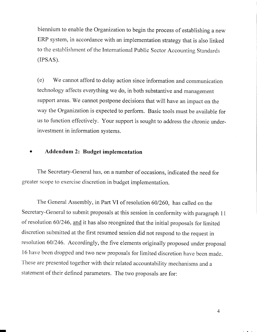biennium to enable the Organization to begin the process of establishing a new ERP system, in accordance with an implementation strategy that is also linked to the establishment of the International Public Sector Accounting Standards (TPSAS).

(e) We cannot afford to delay action since information and communication technology affects everything we do, in both substantive and management support areas. We cannot postpone decisions that will have an impact on the way the Organization is expected to perform. Basic tools must be available for us to function effectively. Your support is sought to address the chronic underinvestment in information svstems.

#### Addendum 2: Budget implementation

The Secretary-General has, on a number of occasions, indicated the need for greater scope to exercise discretion in budget implementation.

The General Assembly, in Part VI of resolution 60/260, has called on the Secretary-General to submit proposals at this session in conformity with paragraph 11 of resolution 60/246, and it has also recognized that the initial proposals for limited discretion submitted at the first resumed session did not respond to the request in resolution 60/246. Accordingly, the five elements originally proposed under proposal 16 have been dropped and two new proposals for limited discretion have been made. These are presented together with their related accountability mechanisms and a statement of their defined parameters. The two proposals are for:

 $\overline{4}$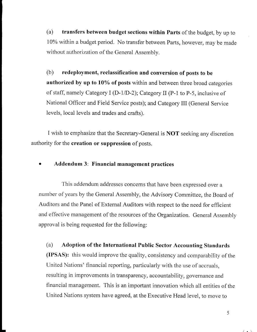(a) transfers between budget sections within Parts of the budget, by up to 10% within a budget period. No transfer between Parts, however, may be made without authorization of the General Assemblv.

(b) redeployment, reclassification and conversion of posts to be authorized by up to  $10\%$  of posts within and between three broad categories of staff, namely Category I (D-1/D-2); Category II (P-1 to P-5, inclusive of National Officer and Field Service posts); and Category III (General Service levels, local levels and trades and crafts).

I wish to emphasize that the Secretary-General is NOT seeking any discretion authority for the creation or suppression of posts.

o Addendum 3: Financial management practices

I

This addendum addresses concerns that have been expressed over a number of years by the General Assembly, the Advisory Committee, the Board of Auditors and the Panel of Extemal Auditors with respect to the need for efficient and effective management of the resources of the Organization. General Assembly approval is being requested for the following:

(a) Adoption of the International Public Sector Accounting Standards (IPSAS): this would improve the quality, consistency and comparability of the United Nations' financial reporting, particularly with the use of accruals, resulting in improvements in transparency, accountability, governance and financial management. This is an important innovation which all entities of the United Nations system have agreed, at the Executive Head level, to move to

 $\angle$  .  $\angle$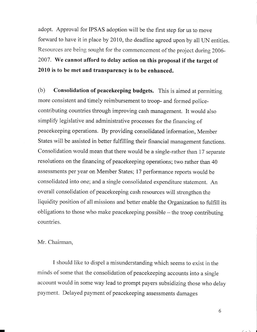adopt. Approval for IPSAS adoption will be the first step for us to move forward to have it in place by 2010, the deadline agreed upon by all UN entities. Resources are being sought for the commencement of the project during 2006- 2007. We cannot afford to delay action on this proposal if the target of 2010 is to be met and transparency is to be enhanced.

(b) Consolidation of peacekeeping budgets. This is aimed at permitting more consistent and timely reimbursement to troop- and formed policecontributing countries through improving cash management. It would also simplify legislative and administrative processes for the financing of peacekeeping operations. By providing consolidated information, Member States will be assisted in better fulfilling their financial management functions. Consolidation would mean that there would be a single-rather than 17 separate resolutions on the financing of peacekeeping operations; two rather than 40 assessments per year on Member States; 17 performance reports would be consolidated into one; and a single consolidated expenditure statement. An overall consolidation of peacekeeping cash resources will strengthen the liquidity position of all missions and better enable the Organization to fulfill its obligations to those who make peacekeeping possible – the troop contributing countries.

#### Mr. Chairman,

I should like to dispel a misunderstanding which seems to exist in the minds of some that the consolidation of peacekeeping accounts into a single account would in some way lead to prompt payers subsidizing those who delay payment. Delayed payment of peacekeeping assessments damages

 $\angle$  .  $\angle$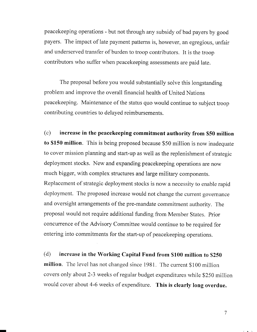peacekeeping operations - but not through any subsidy of bad payers by good payers. The impact of late payment patterns is, however, an egregious, unfair and underserved transfer of burden to troop contributors. It is the troop contributors who suffer when peacekeeping assessments are paid late.

The proposal before you would substantially solve this longstanding problem and improve the overall financial health of United Nations peacekeeping. Maintenance of the status quo would continue to subject troop contributing countries to delayed reimbursements.

(c) increase in the peacekeeping commitment authority from \$50 million to \$150 million. This is being proposed because \$50 million is now inadequate to cover mission planning and start-up as well as the replenishment of strategic deployment stocks. New and expanding peacekeeping operations are now much bigger, with complex structures and large military components. Replacement of strategic deployment stocks is now a necessity to enable rapid deployment. The proposed increase would not change the current governance and oversight arrangements of the pre-mandate commitment authority. The proposal would not require additional funding from Member States. Prior concurrence of the Advisory Committee would continue to be required for entering into commitments for the start-up of peacekeeping operations.

(d) increase in the Working Capital Fund from \$100 million to \$250 million. The level has not changed since 1981. The current \$100 million covers only about 2-3 weeks of regular budget expenditures while \$250 million would cover about 4-6 weeks of expenditure. This is clearly long overdue.

 $\sqrt{1 + \lambda}$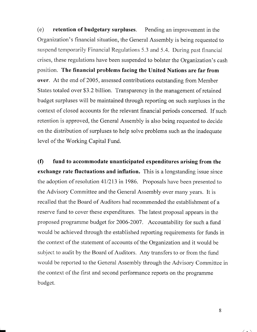(e) retention of budgetary surpluses. Pending an improvement in the Organization's financial situation, the General Assembly is being requested to suspend temporarily Financial Regulations 5.3 and 5.4. During past financial crises, these regulations have been suspended to bolster the Organization's cash position. The financial problems facing the United Nations are far from over. At the end of 2005, assessed contributions outstanding from Member States totaled over \$3.2 billion. Transparency in the management of retained budget surpluses will be maintained through reporting on such surpluses in the context of closed accounts for the relevant financial periods concerned. If such retention is approved, the General Assembly is also being requested to decide on the distribution of surpluses to help solve problems such as the inadequate level of the Working Capital Fund.

(f) fund to accommodate unanticipated expenditures arising from the exchange rate fluctuations and inflation. This is a longstanding issue since the adoption of resolution 41/213 in 1986. Proposals have been presented to the Advisory Committee and the General Assembly over many years. It is recalled that the Board of Auditors had recommended the establishment of a reserve fund to cover these expenditures. The latest proposal appears in the proposed programme budget for 2006-2007. Accountability for such a fund would be achieved through the established reporting requirements for funds in the context of the statement of accounts of the Organization and it would be subject to audit by the Board of Auditors. Any transfers to or from the fund would be reported to the General Assembly through the Advisory Committee in the context of the first and second performance reports on the programme budget.

8

 $\angle$ .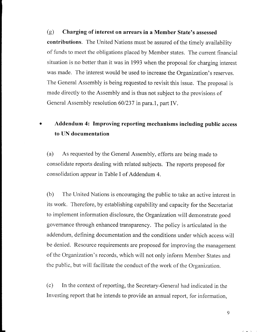(g) Charging of interest on arrears in a Member State's assessed contributions. The United Nations must be assured of the timely availability of funds to meet the obligations placed by Member states. The current financial situation is no better than it was in 1993 when the proposal for charging interest was made. The interest would be used to increase the Organization's reserves. The General Assembly is being requested to revisit this issue. The proposal is made directly to the Assembly and is thus not subject to the provisions of General Assembly resolution 60/237 in para.1, part IV.

# Addendum 4: Improving reporting mechanisms including public access to UN documentation

(a) As requested by the General Assembly, efforts are being made to consolidate reports dealing with related subjects. The reports proposed for consolidation appear in Table I of Addendum 4.

(b) The United Nations is encouraging the public to take an active interest in its work. Therefore, by establishing capability and capacity for the Secretariat to implement information disclosure, the Organization will demonstrate good governance through enhanced transparency. The policy is articulated in the addendum, defining documentation and the conditions under which access will be denied. Resource requirements are proposed for improving the management of the Organization's records, which will not only inform Member States and the public, but will facilitate the conduct of the work of the Organization.

(c) In the context of reporting, the Secretary-General had indicated in the Investing report that he intends to provide an annual report, for information,

 $\sqrt{2}$  .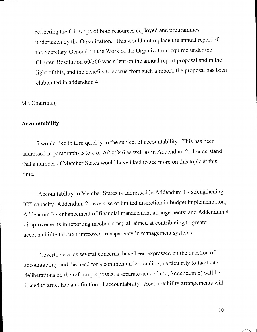reflecting the full scope of both resources deployed and programmes undertaken by the Organization. This would not replace the annual report of the Secretary-General on the Work of the Organization required under the Charter. Resolution 60/260 was silent on the annual report proposal and in the light of this, and the benefits to accrue from such a report, the proposal has been elaborated in addendum 4.

Mr. Chairman,

### Accountability

I would like to turn quickly to the subject of accountability. This has been addressed in paragraphs 5 to 8 of A/60/846 as well as in Addendum 2. I understand that anumber of Member States would have liked to see more on this topic at this time.

Accountability to Member States is addressed in Addendum 1 - strengthening ICT capacity; Addendum 2 - exercise of limited discretion in budget implementation; Addendum 3 - enhancement of financial management arrangements; and Addendum 4 - improvements in reporting mechanisms; all aimed at contributing to greater accountability through improved transparency in management systems.

Nevertheless, as several concerns have been expressed on the question of accountability and the need for a common understanding, particularly to facilitate deliberations on the reform proposals, a separate addendum (Addendum 6) will be issued to articulate a definition of accountability. Accountability arrangements will

 $10$ 

 $\diagup$ .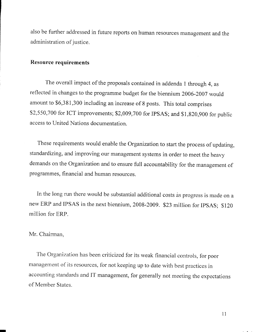also be further addressed in future reports on human resources management and the administration of iustice.

### Resource requirements

The overall impact of the proposals contained in addenda I through 4, as reflected in changes to the programme budget for the biennium 2006-2007 would amount to \$6,381,300 including an increase of 8 posts. This total comprises \$2,550,700 for ICT improvements; \$2,009,700 for IPSAS; and \$1,820,900 for public access to United Nations documentation.

These requirements would enable the Organization to start the process of updating, standardizing, and improving our management systems in order to meet the heavy demands on the Organization and to ensure full accountability for the management of programmes, financial and human resources.

In the long run there would be substantial additional costs as progress is made on a new ERP and IPSAS in the next biennium, 2008 -2009. \$23 million for IpSAS: \$120 million for ERP.

#### Mr. Chairman,

The Organization has been criticized for its weak financial controls, for poor management of its resources, for not keeping up to date with best practices in accounting standards and IT management, for generally not meeting the expectations of Member States.